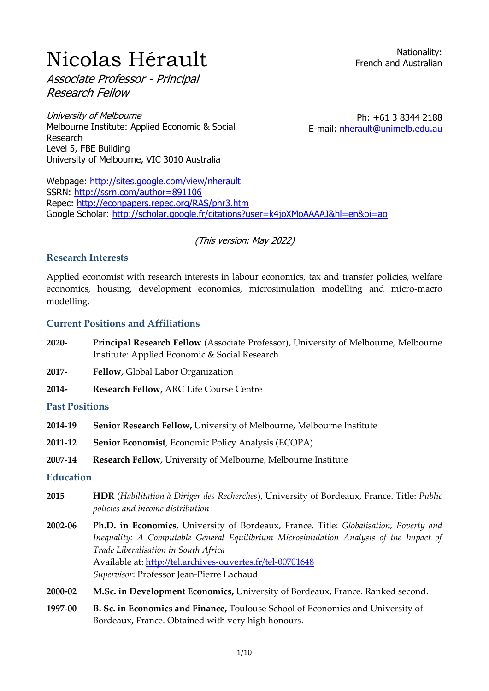# **Nicolas Hérault**

Associate Professor - Principal Research Fellow

University of Melbourne Melbourne Institute: Applied Economic & Social Research Level 5, FBE Building University of Melbourne, VIC 3010 Australia

Ph: +61 3 8344 2188 E-mail: [nherault@unimelb.edu.au](mailto:nherault@unimelb.edu.au)

Webpage:<http://sites.google.com/view/nherault> SSRN:<http://ssrn.com/author=891106> Repec:<http://econpapers.repec.org/RAS/phr3.htm> Google Scholar:<http://scholar.google.fr/citations?user=k4joXMoAAAAJ&hl=en&oi=ao>

## (This version: May 2022)

#### **Research Interests**

Applied economist with research interests in labour economics, tax and transfer policies, welfare economics, housing, development economics, microsimulation modelling and micro-macro modelling.

#### **Current Positions and Affiliations**

- **2020- Principal Research Fellow** (Associate Professor)**,** University of Melbourne, Melbourne Institute: Applied Economic & Social Research
- **2017- Fellow,** Global Labor Organization
- **2014- Research Fellow,** ARC Life Course Centre

#### **Past Positions**

- **2014-19 Senior Research Fellow,** University of Melbourne, Melbourne Institute
- **2011-12 Senior Economist**, Economic Policy Analysis (ECOPA)
- **2007-14 Research Fellow,** University of Melbourne, Melbourne Institute

#### **Education**

- **2015 HDR** (*Habilitation à Diriger des Recherches*), University of Bordeaux, France. Title: *Public policies and income distribution*
- **2002-06 Ph.D. in Economics**, University of Bordeaux, France. Title: *Globalisation, Poverty and Inequality: A Computable General Equilibrium Microsimulation Analysis of the Impact of Trade Liberalisation in South Africa* Available at:<http://tel.archives-ouvertes.fr/tel-00701648> *Supervisor*: Professor Jean-Pierre Lachaud
- **2000-02 M.Sc. in Development Economics,** University of Bordeaux, France. Ranked second.
- **1997-00 B. Sc. in Economics and Finance,** Toulouse School of Economics and University of Bordeaux, France. Obtained with very high honours.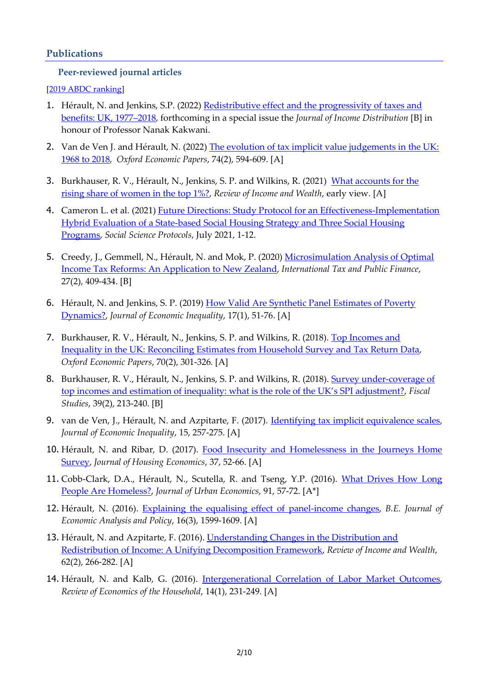#### **Publications**

#### **Peer-reviewed journal articles**

[\[2019 ABDC ranking\]](https://abdc.edu.au/research/abdc-journal-list/2019-review/)

- 1. Hérault, N. and Jenkins, S.P. (2022) [Redistributive effect and the progressivity of taxes and](http://www.ecineq.org/milano/WP/ECINEQ2021-592.pdf)  [benefits: UK, 1977](http://www.ecineq.org/milano/WP/ECINEQ2021-592.pdf)–2018, forthcoming in a special issue the *Journal of Income Distribution* [B] in honour of Professor Nanak Kakwani.
- 2. Van de Ven J. and Hérault, N. (2022) The evolution of tax implicit value judgements in the UK: [1968 to 2018,](https://protect-au.mimecast.com/s/BPa1CK1qwBS2WPmKZFv6IwY?domain=track.smtpsendmail.com) *Oxford Economic Papers*, 74(2), 594-609. [A]
- 3. Burkhauser, R. V., Hérault, N., Jenkins, S. P. and Wilkins, R. (2021) [What accounts for the](https://doi.org/10.1111/roiw.12548)  [rising share of women in the top 1%?,](https://doi.org/10.1111/roiw.12548) *Review of Income and Wealth*, early view. [A]
- 4. Cameron L. et al. (2021) Future Directions: Study Protocol for an Effectiveness-Implementation [Hybrid Evaluation of a State-based Social Housing Strategy and Three Social Housing](http://scholar.google.com.au/scholar_url?url=http://journals.ed.ac.uk/social-science-protocols/article/download/5712/7627&hl=en&sa=X&d=7849315985927144192&ei=Qzz8YKH3GdaR6rQP0Li3wAU&scisig=AAGBfm1LuU934J3qFC6vJ5njLiGkCcMCgw&nossl=1&oi=scholaralrt&hist=k4joXMoAAAAJ:2560825933701765872:AAGBfm1WAC0z9K8fN6uvQbY0xsLmc2Sb5w&html=&folt=art&fols=)  [Programs,](http://scholar.google.com.au/scholar_url?url=http://journals.ed.ac.uk/social-science-protocols/article/download/5712/7627&hl=en&sa=X&d=7849315985927144192&ei=Qzz8YKH3GdaR6rQP0Li3wAU&scisig=AAGBfm1LuU934J3qFC6vJ5njLiGkCcMCgw&nossl=1&oi=scholaralrt&hist=k4joXMoAAAAJ:2560825933701765872:AAGBfm1WAC0z9K8fN6uvQbY0xsLmc2Sb5w&html=&folt=art&fols=) *Social Science Protocols*, July 2021, 1-12.
- 5. Creedy, J., Gemmell, N., Hérault, N. and Mok, P. (2020[\) Microsimulation Analysis of Optimal](https://link.springer.com/article/10.1007/s10797-019-09558-5)  [Income Tax Reforms: An Application to New Zealand,](https://link.springer.com/article/10.1007/s10797-019-09558-5) *International Tax and Public Finance*, 27(2), 409-434. [B]
- 6. Hérault, N. and Jenkins, S. P. (2019) [How Valid Are Synthetic Panel Estimates of Poverty](https://protect-au.mimecast.com/s/lsvXCQnzDmsqPA40txWmnN?domain=links.springernature.com)  [Dynamics?,](https://protect-au.mimecast.com/s/lsvXCQnzDmsqPA40txWmnN?domain=links.springernature.com) *Journal of Economic Inequality*, 17(1), 51-76. [A]
- 7. Burkhauser, R. V., Hérault, N., Jenkins, S. P. and Wilkins, R. (2018). [Top Incomes and](https://doi.org/10.1093/oep/gpx041)  [Inequality in the UK: Reconciling Estimates from Household Survey and Tax Return Data,](https://doi.org/10.1093/oep/gpx041) *Oxford Economic Papers*, 70(2), 301-326*.* [A]
- 8. Burkhauser, R. V., Hérault, N., Jenkins, S. P. and Wilkins, R. (2018). Survey under-coverage of [top incomes and estimation of inequality: what is the role of the UK's SPI adjustment?](https://doi.org/10.1111/1475-5890.12158), *Fiscal Studies*, 39(2), 213-240. [B]
- 9. van de Ven, J., Hérault, N. and Azpitarte, F. (2017). [Identifying tax implicit equivalence scales,](https://link.springer.com/article/10.1007/s10888-017-9354-x) *Journal of Economic Inequality*, 15, 257-275. [A]
- 10. Hérault, N. and Ribar, D. (2017). Food Insecurity and Homelessness in the Journeys Home [Survey,](https://doi.org/10.1016/j.jhe.2017.05.001) *Journal of Housing Economics*, 37, 52-66. [A]
- 11. Cobb-Clark, D.A., Hérault, N., Scutella, R. and Tseng, Y.P. (2016). [What Drives How Long](https://www.google.com/url?q=https%3A%2F%2Fdoi.org%2F10.1016%2Fj.jue.2015.11.005&sa=D)  [People Are Homeless?,](https://www.google.com/url?q=https%3A%2F%2Fdoi.org%2F10.1016%2Fj.jue.2015.11.005&sa=D) *Journal of Urban Economics*, 91, 57-72. [A\*]
- 12. Hérault, N. (2016). [Explaining the equalising effect of panel-income changes,](https://www.google.com/url?q=https%3A%2F%2Fdoi.org%2F10.1515%2Fbejeap-2016-0025&sa=D) *B.E. Journal of Economic Analysis and Policy*, 16(3), 1599-1609. [A]
- 13. Hérault, N. and Azpitarte, F. (2016). *Understanding Changes in the Distribution and* [Redistribution of Income: A Unifying Decomposition Framework,](https://www.google.com/url?q=https%3A%2F%2Fdoi.org%2F10.1111%2Froiw.12160&sa=D) *Review of Income and Wealth*, 62(2), 266-282. [A]
- 14. Hérault, N. and Kalb, G. (2016). [Intergenerational Correlation of Labor Market Outcomes,](https://www.google.com/url?q=https%3A%2F%2Flink.springer.com%2Farticle%2F10.1007%2Fs11150-013-9218-5&sa=D) *Review of Economics of the Household*, 14(1), 231-249. [A]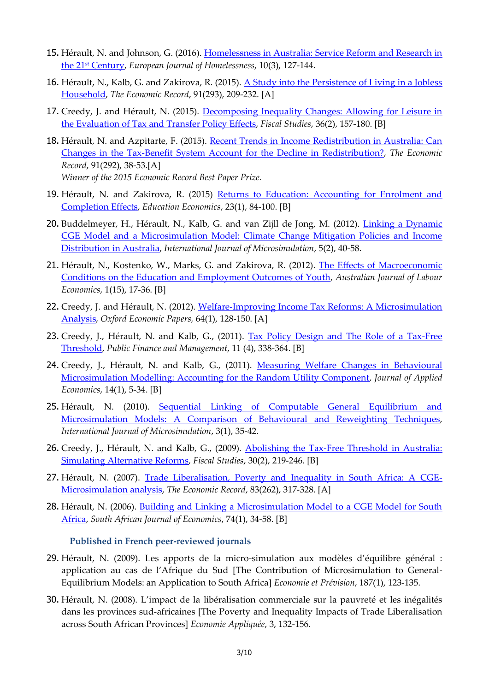- 15. Hérault, N. and Johnson, G. (2016). Homelessness in Australia: Service Reform and Research in the 21st [Century,](https://www.google.com/url?q=https%3A%2F%2Fwww.researchgate.net%2Fprofile%2FGuy_Johnson%2Fpublication%2F312624933_Homelessness_in_Australia_Service_Reform_and_Research_in_the_21_st_Century%2Flinks%2F5886faf5a6fdcc6b791947f9%2FHomelessness-in-Australia-Service-Reform-and-Research-in-the-21-st-Century.pdf&sa=D) *European Journal of Homelessness*, 10(3), 127-144.
- 16. Hérault, N., Kalb, G. and Zakirova, R. (2015). A Study into the Persistence of Living in a Jobless [Household,](https://www.google.com/url?q=https%3A%2F%2Fdoi.org%2F10.1111%2F1475-4932.12178&sa=D) *The Economic Record*, 91(293), 209-232. [A]
- 17. Creedy, J. and Hérault, N. (2015). [Decomposing Inequality Changes: Allowing for Leisure in](https://www.google.com/url?q=https%3A%2F%2Fdoi.org%2F10.1111%2F1475-5890.12052&sa=D)  [the Evaluation of Tax and Transfer Policy Effects,](https://www.google.com/url?q=https%3A%2F%2Fdoi.org%2F10.1111%2F1475-5890.12052&sa=D) *Fiscal Studies*, 36(2), 157-180. [B]
- 18. Hérault, N. and Azpitarte, F. (2015). Recent Trends in Income Redistribution in Australia: Can [Changes in the Tax-Benefit System Account for the Decline in Redistribution?,](https://onlinelibrary.wiley.com/doi/epdf/10.1111/1475-4932.12154) *The Economic Record*, 91(292), 38-53.[A] *Winner of the 2015 Economic Record Best Paper Prize.*
- 19. Hérault, N. and Zakirova, R. (2015) [Returns to Education: Accounting for Enrolment and](https://www.google.com/url?q=https%3A%2F%2Fdoi.org%2F10.1080%2F09645292.2013.805184&sa=D)  [Completion Effects,](https://www.google.com/url?q=https%3A%2F%2Fdoi.org%2F10.1080%2F09645292.2013.805184&sa=D) *Education Economics*, 23(1), 84-100. [B]
- 20. Buddelmeyer, H., Hérault, N., Kalb, G. and van Zijll de Jong, M. (2012). Linking a Dynamic [CGE Model and a Microsimulation Model: Climate Change Mitigation Policies and Income](http://www.microsimulation.org/IJM/V5_2/3_IJM_5_2_Buddelmeyer_herault_kalb_vanzijlldejong.pdf)  Distribution [in Australia,](http://www.microsimulation.org/IJM/V5_2/3_IJM_5_2_Buddelmeyer_herault_kalb_vanzijlldejong.pdf) *International Journal of Microsimulation*, 5(2), 40-58.
- 21. Hérault, N., Kostenko, W., Marks, G. and Zakirova, R. (2012). The Effects of Macroeconomic [Conditions on the Education and Employment Outcomes of Youth,](http://businesslaw.curtin.edu.au/wp-content/uploads/sites/5/2016/05/AJLE-v15n1-Herault.pdf) *Australian Journal of Labour Economics*, 1(15), 17-36. [B]
- 22. Creedy, J. and Hérault, N. (2012). Welfare-Improving Income Tax Reforms: A Microsimulation [Analysis,](https://www.google.com/url?q=https%3A%2F%2Fdoi.org%2F10.1093%2Foep%2Fgpr029&sa=D) *Oxford Economic Papers,* 64(1), 128-150. [A]
- 23. Creedy, J., Hérault, N. and Kalb, G., (2011). Tax Policy Design and The Role of a Tax-Free [Threshold,](https://www.google.com/url?q=https%3A%2F%2Fspaef.org%2Farticle%2F1324%2FTax-Policy-Design-and-the-Role-of-a-Tax-Free-Threshold&sa=D) *Public Finance and Management*, 11 (4), 338-364. [B]
- 24. Creedy, J., Hérault, N. and Kalb, G., (2011). [Measuring Welfare Changes in Behavioural](https://www.tandfonline.com/doi/pdf/10.1016/S1514-0326%2811%2960003-2?needAccess=true)  [Microsimulation Modelling: Accounting for the Random Utility Component,](https://www.tandfonline.com/doi/pdf/10.1016/S1514-0326%2811%2960003-2?needAccess=true) *Journal of Applied Economics*, 14(1), 5-34. [B]
- 25. Hérault, N. (2010). Sequential Linking of Computable General Equilibrium and Microsimulation Models: A Comparison [of Behavioural and Reweighting Techniques,](http://www.microsimulation.org/IJM/V3_1/IJM_27.pdf) *International Journal of Microsimulation*, 3(1), 35-42.
- 26. Creedy, J., Hérault, N. and Kalb, G., (2009). [Abolishing the Tax-Free Threshold in Australia:](https://www.google.com/url?q=https%3A%2F%2Fdoi.org%2F10.1111%2Fj.1475-5890.2009.00094.x&sa=D)  [Simulating Alternative Reforms,](https://www.google.com/url?q=https%3A%2F%2Fdoi.org%2F10.1111%2Fj.1475-5890.2009.00094.x&sa=D) *Fiscal Studies*, 30(2), 219-246. [B]
- 27. Hérault, N. (2007). [Trade Liberalisation, Poverty and Inequality in South Africa: A CGE-](https://www.google.com/url?q=https%3A%2F%2Fdoi.org%2F10.1111%2Fj.1475-4932.2007.00417.x&sa=D)[Microsimulation analysis,](https://www.google.com/url?q=https%3A%2F%2Fdoi.org%2F10.1111%2Fj.1475-4932.2007.00417.x&sa=D) *The Economic Record*, 83(262), 317-328. [A]
- 28. Hérault, N. (2006). Building and Linking a Microsimulation Model to a CGE Model for South [Africa,](https://www.google.com/url?q=https%3A%2F%2Fdoi.org%2F10.1111%2Fj.1813-6982.2006.00047.x&sa=D) *South African Journal of Economics*, 74(1), 34-58. [B]

**Published in French peer-reviewed journals**

- 29. Hérault, N. (2009). Les apports de la micro-simulation aux modèles d'équilibre général : application au cas de l'Afrique du Sud [The Contribution of Microsimulation to General-Equilibrium Models: an Application to South Africa] *Economie et Prévision*, 187(1), 123-135.
- 30. Hérault, N. (2008). L'impact de la libéralisation commerciale sur la pauvreté et les inégalités dans les provinces sud-africaines [The Poverty and Inequality Impacts of Trade Liberalisation across South African Provinces] *Economie Appliquée*, 3, 132-156.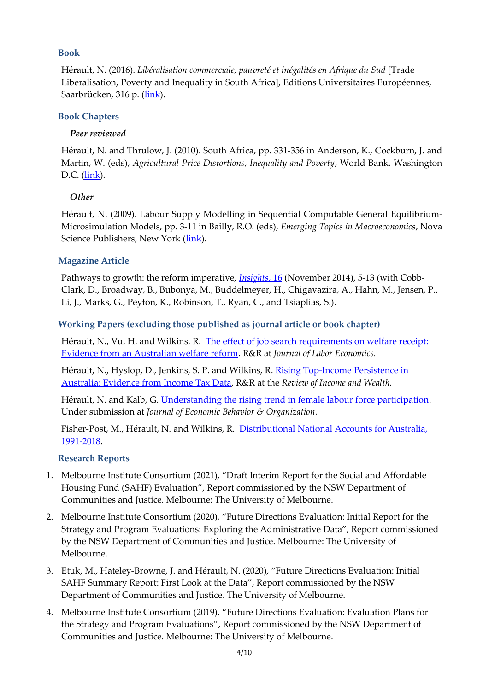## **Book**

Hérault, N. (2016). *Libéralisation commerciale, pauvreté et inégalités en Afrique du Sud* [Trade Liberalisation, Poverty and Inequality in South Africa], Editions Universitaires Européennes, Saarbrücken, 316 p. [\(link\)](https://www.morebooks.de/store/fr/book/lib%C3%A9ralisation-commerciale,-pauvret%C3%A9-et-in%C3%A9galit%C3%A9s-en-afrique-du-sud/isbn/978-3-639-52916-6).

## **Book Chapters**

# *Peer reviewed*

Hérault, N. and Thrulow, J. (2010). South Africa, pp. 331-356 in Anderson, K., Cockburn, J. and Martin, W. (eds), *Agricultural Price Distortions, Inequality and Poverty*, World Bank, Washington D.C. [\(link\)](http://www-wds.worldbank.org/external/default/WDSContentServer/IW3P/IB/2010/04/07/000333037_20100407012231/Rendered/PDF/538790PUB0agri101Official0use0Only1.pdf).

# *Other*

Hérault, N. (2009). Labour Supply Modelling in Sequential Computable General Equilibrium-Microsimulation Models, pp. 3-11 in Bailly, R.O. (eds), *Emerging Topics in Macroeconomics*, Nova Science Publishers, New York [\(link\)](https://www.novapublishers.com/catalog/product_info.php?products_id=8191).

# **Magazine Article**

Pathways to growth: the reform imperative, *[Insights](https://issuu.com/business-economics/docs/insights_volume_16_november_2014)*, 16 (November 2014), 5-13 (with Cobb-Clark, D., Broadway, B., Bubonya, M., Buddelmeyer, H., Chigavazira, A., Hahn, M., Jensen, P., Li, J., Marks, G., Peyton, K., Robinson, T., Ryan, C., and Tsiaplias, S.).

# **Working Papers (excluding those published as journal article or book chapter)**

Hérault, N., Vu, H. and Wilkins, R. [The effect of job search requirements on welfare receipt:](https://melbourneinstitute.unimelb.edu.au/__data/assets/pdf_file/0011/3476603/wp2020n16.pdf)  [Evidence from an Australian welfare reform.](https://melbourneinstitute.unimelb.edu.au/__data/assets/pdf_file/0011/3476603/wp2020n16.pdf) R&R at *Journal of Labor Economics.*

Hérault, N., Hyslop, D., Jenkins, S. P. and Wilkins, R. Rising Top-Income Persistence in [Australia: Evidence from Income Tax Data,](https://melbourneinstitute.unimelb.edu.au/publications/working-papers/search/result?paper=3916974) R&R at the *Review of Income and Wealth.*

Hérault, N. and Kalb, G. [Understanding the rising trend in female labour force participation.](https://melbourneinstitute.unimelb.edu.au/__data/assets/pdf_file/0011/3376901/wp2020n07.pdf) Under submission at *Journal of Economic Behavior & Organization.*

Fisher-Post, M., Hérault, N. and Wilkins, R. [Distributional National Accounts for](https://congress-files.s3.amazonaws.com/2021-11/DINA%20Australia%20v3%20-%20WID%20conference.pdf) Australia, [1991-2018.](https://congress-files.s3.amazonaws.com/2021-11/DINA%20Australia%20v3%20-%20WID%20conference.pdf)

## **Research Reports**

- 1. Melbourne Institute Consortium (2021), "Draft Interim Report for the Social and Affordable Housing Fund (SAHF) Evaluation", Report commissioned by the NSW Department of Communities and Justice. Melbourne: The University of Melbourne.
- 2. Melbourne Institute Consortium (2020), "Future Directions Evaluation: Initial Report for the Strategy and Program Evaluations: Exploring the Administrative Data", Report commissioned by the NSW Department of Communities and Justice. Melbourne: The University of Melbourne.
- 3. Etuk, M., Hateley-Browne, J. and Hérault, N. (2020), "Future Directions Evaluation: Initial SAHF Summary Report: First Look at the Data", Report commissioned by the NSW Department of Communities and Justice. The University of Melbourne.
- 4. Melbourne Institute Consortium (2019), "Future Directions Evaluation: Evaluation Plans for the Strategy and Program Evaluations", Report commissioned by the NSW Department of Communities and Justice. Melbourne: The University of Melbourne.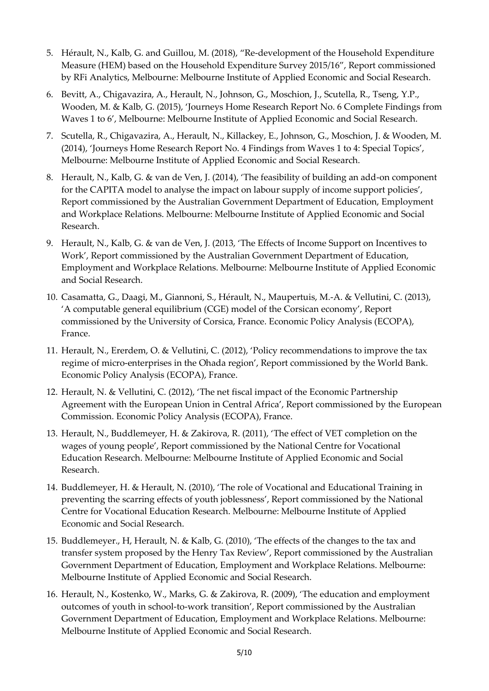- 5. Hérault, N., Kalb, G. and Guillou, M. (2018), "Re-development of the Household Expenditure Measure (HEM) based on the Household Expenditure Survey 2015/16", Report commissioned by RFi Analytics, Melbourne: Melbourne Institute of Applied Economic and Social Research.
- 6. Bevitt, A., Chigavazira, A., Herault, N., Johnson, G., Moschion, J., Scutella, R., Tseng, Y.P., Wooden, M. & Kalb, G. (2015), 'Journeys Home Research Report No. 6 Complete Findings from Waves 1 to 6', Melbourne: Melbourne Institute of Applied Economic and Social Research.
- 7. Scutella, R., Chigavazira, A., Herault, N., Killackey, E., Johnson, G., Moschion, J. & Wooden, M. (2014), 'Journeys Home Research Report No. 4 Findings from Waves 1 to 4: Special Topics', Melbourne: Melbourne Institute of Applied Economic and Social Research.
- 8. Herault, N., Kalb, G. & van de Ven, J. (2014), 'The feasibility of building an add-on component for the CAPITA model to analyse the impact on labour supply of income support policies', Report commissioned by the Australian Government Department of Education, Employment and Workplace Relations. Melbourne: Melbourne Institute of Applied Economic and Social Research.
- 9. Herault, N., Kalb, G. & van de Ven, J. (2013, 'The Effects of Income Support on Incentives to Work', Report commissioned by the Australian Government Department of Education, Employment and Workplace Relations. Melbourne: Melbourne Institute of Applied Economic and Social Research.
- 10. Casamatta, G., Daagi, M., Giannoni, S., Hérault, N., Maupertuis, M.-A. & Vellutini, C. (2013), 'A computable general equilibrium (CGE) model of the Corsican economy', Report commissioned by the University of Corsica, France. Economic Policy Analysis (ECOPA), France.
- 11. Herault, N., Ererdem, O. & Vellutini, C. (2012), 'Policy recommendations to improve the tax regime of micro-enterprises in the Ohada region', Report commissioned by the World Bank. Economic Policy Analysis (ECOPA), France.
- 12. Herault, N. & Vellutini, C. (2012), 'The net fiscal impact of the Economic Partnership Agreement with the European Union in Central Africa', Report commissioned by the European Commission. Economic Policy Analysis (ECOPA), France.
- 13. Herault, N., Buddlemeyer, H. & Zakirova, R. (2011), 'The effect of VET completion on the wages of young people', Report commissioned by the National Centre for Vocational Education Research. Melbourne: Melbourne Institute of Applied Economic and Social Research.
- 14. Buddlemeyer, H. & Herault, N. (2010), 'The role of Vocational and Educational Training in preventing the scarring effects of youth joblessness', Report commissioned by the National Centre for Vocational Education Research. Melbourne: Melbourne Institute of Applied Economic and Social Research.
- 15. Buddlemeyer., H, Herault, N. & Kalb, G. (2010), 'The effects of the changes to the tax and transfer system proposed by the Henry Tax Review', Report commissioned by the Australian Government Department of Education, Employment and Workplace Relations. Melbourne: Melbourne Institute of Applied Economic and Social Research.
- 16. Herault, N., Kostenko, W., Marks, G. & Zakirova, R. (2009), 'The education and employment outcomes of youth in school-to-work transition', Report commissioned by the Australian Government Department of Education, Employment and Workplace Relations. Melbourne: Melbourne Institute of Applied Economic and Social Research.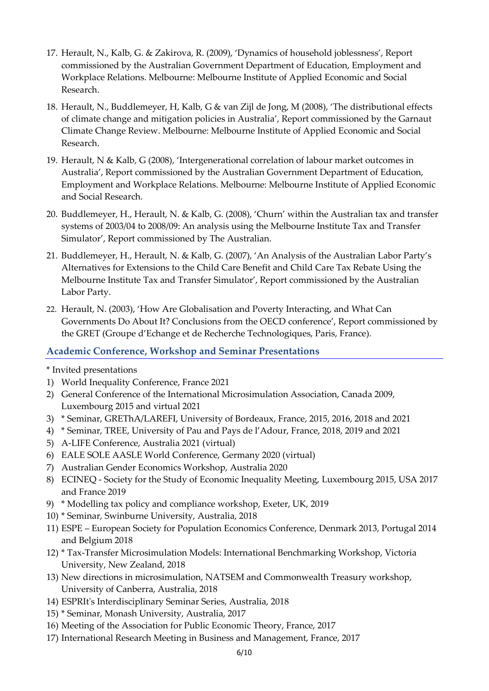- 17. Herault, N., Kalb, G. & Zakirova, R. (2009), 'Dynamics of household joblessness', Report commissioned by the Australian Government Department of Education, Employment and Workplace Relations. Melbourne: Melbourne Institute of Applied Economic and Social Research.
- 18. Herault, N., Buddlemeyer, H, Kalb, G & van Zijl de Jong, M (2008), 'The distributional effects of climate change and mitigation policies in Australia', Report commissioned by the Garnaut Climate Change Review. Melbourne: Melbourne Institute of Applied Economic and Social Research.
- 19. Herault, N & Kalb, G (2008), 'Intergenerational correlation of labour market outcomes in Australia', Report commissioned by the Australian Government Department of Education, Employment and Workplace Relations. Melbourne: Melbourne Institute of Applied Economic and Social Research.
- 20. Buddlemeyer, H., Herault, N. & Kalb, G. (2008), 'Churn' within the Australian tax and transfer systems of 2003/04 to 2008/09: An analysis using the Melbourne Institute Tax and Transfer Simulator', Report commissioned by The Australian.
- 21. Buddlemeyer, H., Herault, N. & Kalb, G. (2007), 'An Analysis of the Australian Labor Party's Alternatives for Extensions to the Child Care Benefit and Child Care Tax Rebate Using the Melbourne Institute Tax and Transfer Simulator', Report commissioned by the Australian Labor Party.
- 22. Herault, N. (2003), 'How Are Globalisation and Poverty Interacting, and What Can Governments Do About It? Conclusions from the OECD conference', Report commissioned by the GRET (Groupe d'Echange et de Recherche Technologiques, Paris, France).

# **Academic Conference, Workshop and Seminar Presentations**

\* Invited presentations

- 1) World Inequality Conference, France 2021
- 2) General Conference of the International Microsimulation Association, Canada 2009, Luxembourg 2015 and virtual 2021
- 3) \* Seminar, GREThA/LAREFI, University of Bordeaux, France, 2015, 2016, 2018 and 2021
- 4) \* Seminar, TREE, University of Pau and Pays de l'Adour, France, 2018, 2019 and 2021
- 5) A-LIFE Conference, Australia 2021 (virtual)
- 6) EALE SOLE AASLE World Conference, Germany 2020 (virtual)
- 7) Australian Gender Economics Workshop, Australia 2020
- 8) ECINEQ Society for the Study of Economic Inequality Meeting, Luxembourg 2015, USA 2017 and France 2019
- 9) \* Modelling tax policy and compliance workshop, Exeter, UK, 2019
- 10) \* Seminar, Swinburne University, Australia, 2018
- 11) ESPE European Society for Population Economics Conference, Denmark 2013, Portugal 2014 and Belgium 2018
- 12) \* Tax-Transfer Microsimulation Models: International Benchmarking Workshop, Victoria University, New Zealand, 2018
- 13) New directions in microsimulation, NATSEM and Commonwealth Treasury workshop, University of Canberra, Australia, 2018
- 14) ESPRIt's Interdisciplinary Seminar Series, Australia, 2018
- 15) \* Seminar, Monash University, Australia, 2017
- 16) Meeting of the Association for Public Economic Theory, France, 2017
- 17) International Research Meeting in Business and Management, France, 2017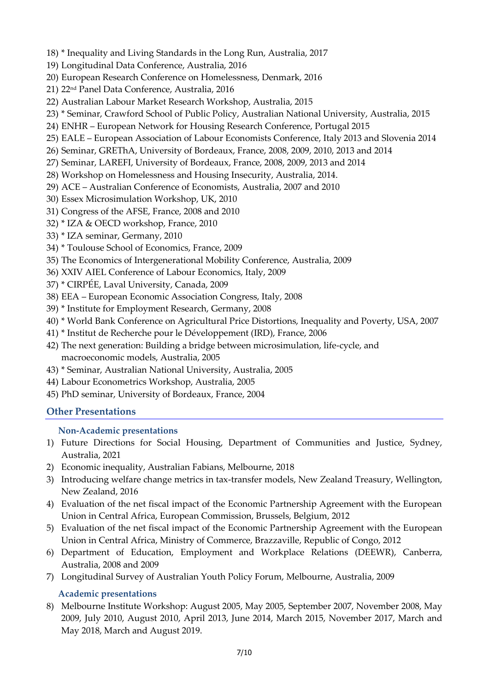- 18) \* Inequality and Living Standards in the Long Run, Australia, 2017
- 19) Longitudinal Data Conference, Australia, 2016
- 20) European Research Conference on Homelessness, Denmark, 2016
- 21) 22nd Panel Data Conference, Australia, 2016
- 22) Australian Labour Market Research Workshop, Australia, 2015
- 23) \* Seminar, Crawford School of Public Policy, Australian National University, Australia, 2015
- 24) ENHR European Network for Housing Research Conference, Portugal 2015
- 25) EALE European Association of Labour Economists Conference, Italy 2013 and Slovenia 2014
- 26) Seminar, GREThA, University of Bordeaux, France, 2008, 2009, 2010, 2013 and 2014
- 27) Seminar, LAREFI, University of Bordeaux, France, 2008, 2009, 2013 and 2014
- 28) Workshop on Homelessness and Housing Insecurity, Australia, 2014.
- 29) ACE Australian Conference of Economists, Australia, 2007 and 2010
- 30) Essex Microsimulation Workshop, UK, 2010
- 31) Congress of the AFSE, France, 2008 and 2010
- 32) \* IZA & OECD workshop, France, 2010
- 33) \* IZA seminar, Germany, 2010
- 34) \* Toulouse School of Economics, France, 2009
- 35) The Economics of Intergenerational Mobility Conference, Australia, 2009
- 36) XXIV AIEL Conference of Labour Economics, Italy, 2009
- 37) \* CIRPÉE, Laval University, Canada, 2009
- 38) EEA European Economic Association Congress, Italy, 2008
- 39) \* Institute for Employment Research, Germany, 2008
- 40) \* World Bank Conference on Agricultural Price Distortions, Inequality and Poverty, USA, 2007
- 41) \* Institut de Recherche pour le Développement (IRD), France, 2006
- 42) The next generation: Building a bridge between microsimulation, life-cycle, and macroeconomic models, Australia, 2005
- 43) \* Seminar, Australian National University, Australia, 2005
- 44) Labour Econometrics Workshop, Australia, 2005
- 45) PhD seminar, University of Bordeaux, France, 2004

## **Other Presentations**

#### **Non-Academic presentations**

- 1) Future Directions for Social Housing, Department of Communities and Justice, Sydney, Australia, 2021
- 2) Economic inequality, Australian Fabians, Melbourne, 2018
- 3) Introducing welfare change metrics in tax-transfer models, New Zealand Treasury, Wellington, New Zealand, 2016
- 4) Evaluation of the net fiscal impact of the Economic Partnership Agreement with the European Union in Central Africa, European Commission, Brussels, Belgium, 2012
- 5) Evaluation of the net fiscal impact of the Economic Partnership Agreement with the European Union in Central Africa, Ministry of Commerce, Brazzaville, Republic of Congo, 2012
- 6) Department of Education, Employment and Workplace Relations (DEEWR), Canberra, Australia, 2008 and 2009
- 7) Longitudinal Survey of Australian Youth Policy Forum, Melbourne, Australia, 2009

#### **Academic presentations**

8) Melbourne Institute Workshop: August 2005, May 2005, September 2007, November 2008, May 2009, July 2010, August 2010, April 2013, June 2014, March 2015, November 2017, March and May 2018, March and August 2019.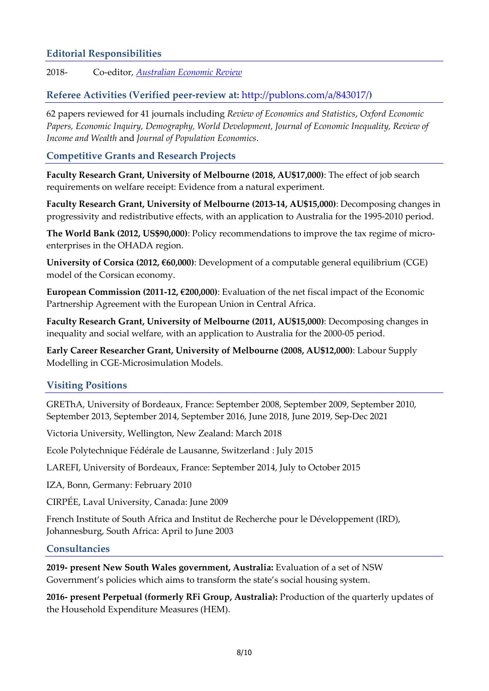# **Editorial Responsibilities**

2018- Co-editor, *[Australian Economic Review](https://onlinelibrary.wiley.com/journal/14678462)*

# **Referee Activities (Verified peer-review at:** <http://publons.com/a/843017/>**)**

62 papers reviewed for 41 journals including *Review of Economics and Statistics*, *Oxford Economic Papers, Economic Inquiry, Demography, World Development, Journal of Economic Inequality, Review of Income and Wealth* and *Journal of Population Economics*.

## **Competitive Grants and Research Projects**

**Faculty Research Grant, University of Melbourne (2018, AU\$17,000)**: The effect of job search requirements on welfare receipt: Evidence from a natural experiment.

**Faculty Research Grant, University of Melbourne (2013-14, AU\$15,000)**: Decomposing changes in progressivity and redistributive effects, with an application to Australia for the 1995-2010 period.

**The World Bank (2012, US\$90,000)**: Policy recommendations to improve the tax regime of microenterprises in the OHADA region.

**University of Corsica (2012, €60,000)**: Development of a computable general equilibrium (CGE) model of the Corsican economy.

**European Commission (2011-12, €200,000)**: Evaluation of the net fiscal impact of the Economic Partnership Agreement with the European Union in Central Africa.

**Faculty Research Grant, University of Melbourne (2011, AU\$15,000)**: Decomposing changes in inequality and social welfare, with an application to Australia for the 2000-05 period.

**Early Career Researcher Grant, University of Melbourne (2008, AU\$12,000)**: Labour Supply Modelling in CGE-Microsimulation Models.

## **Visiting Positions**

GREThA, University of Bordeaux, France: September 2008, September 2009, September 2010, September 2013, September 2014, September 2016, June 2018, June 2019, Sep-Dec 2021

Victoria University, Wellington, New Zealand: March 2018

Ecole Polytechnique Fédérale de Lausanne, Switzerland : July 2015

LAREFI, University of Bordeaux, France: September 2014, July to October 2015

IZA, Bonn, Germany: February 2010

CIRPÉE, Laval University, Canada: June 2009

French Institute of South Africa and Institut de Recherche pour le Développement (IRD), Johannesburg, South Africa: April to June 2003

#### **Consultancies**

**2019- present New South Wales government, Australia:** Evaluation of a set of NSW Government's policies which aims to transform the state's social housing system.

**2016- present Perpetual (formerly RFi Group, Australia):** Production of the quarterly updates of the Household Expenditure Measures (HEM).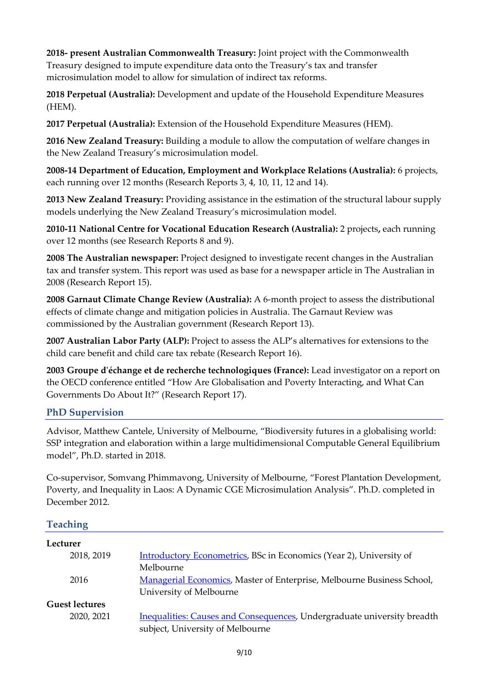**2018- present Australian Commonwealth Treasury:** Joint project with the Commonwealth Treasury designed to impute expenditure data onto the Treasury's tax and transfer microsimulation model to allow for simulation of indirect tax reforms.

**2018 Perpetual (Australia):** Development and update of the Household Expenditure Measures (HEM).

**2017 Perpetual (Australia):** Extension of the Household Expenditure Measures (HEM).

**2016 New Zealand Treasury:** Building a module to allow the computation of welfare changes in the New Zealand Treasury's microsimulation model.

**2008-14 Department of Education, Employment and Workplace Relations (Australia):** 6 projects, each running over 12 months (Research Reports 3, 4, 10, 11, 12 and 14).

**2013 New Zealand Treasury:** Providing assistance in the estimation of the structural labour supply models underlying the New Zealand Treasury's microsimulation model.

**2010-11 National Centre for Vocational Education Research (Australia):** 2 projects**,** each running over 12 months (see Research Reports 8 and 9).

**2008 The Australian newspaper:** Project designed to investigate recent changes in the Australian tax and transfer system. This report was used as base for a newspaper article in The Australian in 2008 (Research Report 15).

**2008 Garnaut Climate Change Review (Australia):** A 6-month project to assess the distributional effects of climate change and mitigation policies in Australia. The Garnaut Review was commissioned by the Australian government (Research Report 13).

**2007 Australian Labor Party (ALP):** Project to assess the ALP's alternatives for extensions to the child care benefit and child care tax rebate (Research Report 16).

**2003 Groupe d'échange et de recherche technologiques (France):** Lead investigator on a report on the OECD conference entitled "How Are Globalisation and Poverty Interacting, and What Can Governments Do About It?" (Research Report 17).

# **PhD Supervision**

Advisor, Matthew Cantele, University of Melbourne, "Biodiversity futures in a globalising world: SSP integration and elaboration within a large multidimensional Computable General Equilibrium model", Ph.D. started in 2018.

Co-supervisor, Somvang Phimmavong, University of Melbourne, "Forest Plantation Development, Poverty, and Inequality in Laos: A Dynamic CGE Microsimulation Analysis". Ph.D. completed in December 2012.

# **Teaching**

| Lecturer              |                                                                         |
|-----------------------|-------------------------------------------------------------------------|
| 2018, 2019            | Introductory Econometrics, BSc in Economics (Year 2), University of     |
|                       | Melbourne                                                               |
| 2016                  | Managerial Economics, Master of Enterprise, Melbourne Business School,  |
|                       | University of Melbourne                                                 |
| <b>Guest lectures</b> |                                                                         |
| 2020, 2021            | Inequalities: Causes and Consequences, Undergraduate university breadth |
|                       | subject, University of Melbourne                                        |